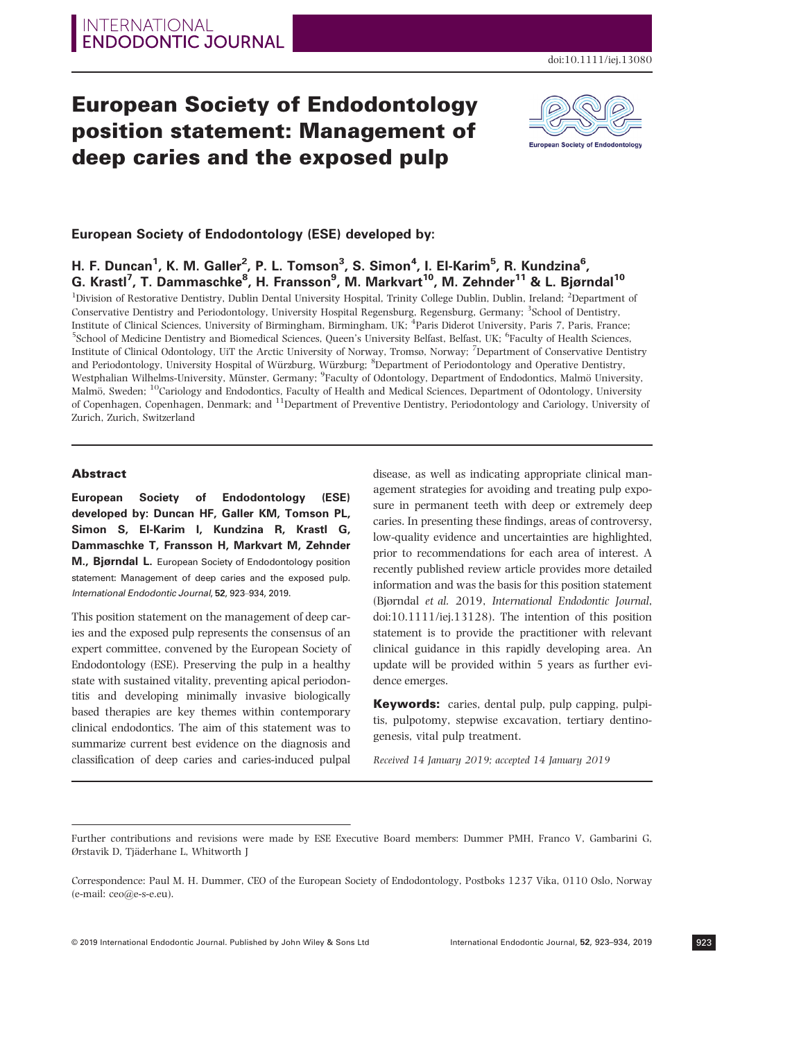# European Society of Endodontology position statement: Management of deep caries and the exposed pulp



European Society of Endodontology (ESE) developed by:

# H. F. Duncan<sup>1</sup>, K. M. Galler<sup>2</sup>, P. L. Tomson<sup>3</sup>, S. Simon<sup>4</sup>, I. El-Karim<sup>5</sup>, R. Kundzina<sup>6</sup>, G. Krastl<sup>7</sup>, T. Dammaschke<sup>8</sup>, H. Fransson<sup>9</sup>, M. Markvart<sup>10</sup>, M. Zehnder<sup>11</sup> & L. Bjørndal<sup>10</sup>

<sup>1</sup>Division of Restorative Dentistry, Dublin Dental University Hospital, Trinity College Dublin, Dublin, Ireland; <sup>2</sup>Department of Conservative Dentistry and Periodontology, University Hospital Regensburg, Regensburg, Germany; <sup>3</sup>School of Dentistry, Institute of Clinical Sciences, University of Birmingham, Birmingham, UK; <sup>4</sup> Paris Diderot University, Paris 7, Paris, France; <sup>5</sup>School of Medicine Dentistry and Biomedical Sciences, Queen's University Belfast, Belfast, UK; <sup>6</sup>Faculty of Health Sciences, Institute of Clinical Odontology, UiT the Arctic University of Norway, Tromsø, Norway; <sup>7</sup> Department of Conservative Dentistry and Periodontology, University Hospital of Würzburg, Würzburg; <sup>8</sup>Department of Periodontology and Operative Dentistry, Westphalian Wilhelms-University, Münster, Germany; <sup>9</sup>Faculty of Odontology, Department of Endodontics, Malmö University, Malmö, Sweden; <sup>10</sup>Cariology and Endodontics, Faculty of Health and Medical Sciences, Department of Odontology, University of Copenhagen, Copenhagen, Denmark; and 11Department of Preventive Dentistry, Periodontology and Cariology, University of Zurich, Zurich, Switzerland

### Abstract

European Society of Endodontology (ESE) developed by: Duncan HF, Galler KM, Tomson PL, Simon S, El-Karim I, Kundzina R, Krastl G, Dammaschke T, Fransson H, Markvart M, Zehnder M., Bjørndal L. European Society of Endodontology position statement: Management of deep caries and the exposed pulp. International Endodontic Journal, 52, 923–934, 2019.

This position statement on the management of deep caries and the exposed pulp represents the consensus of an expert committee, convened by the European Society of Endodontology (ESE). Preserving the pulp in a healthy state with sustained vitality, preventing apical periodontitis and developing minimally invasive biologically based therapies are key themes within contemporary clinical endodontics. The aim of this statement was to summarize current best evidence on the diagnosis and classification of deep caries and caries-induced pulpal disease, as well as indicating appropriate clinical management strategies for avoiding and treating pulp exposure in permanent teeth with deep or extremely deep caries. In presenting these findings, areas of controversy, low-quality evidence and uncertainties are highlighted, prior to recommendations for each area of interest. A recently published review article provides more detailed information and was the basis for this position statement (Bjørndal et al. 2019, International Endodontic Journal, doi[:10.1111/iej.13128](https://doi.org/10.1111/iej.13128)). The intention of this position statement is to provide the practitioner with relevant clinical guidance in this rapidly developing area. An update will be provided within 5 years as further evidence emerges.

Keywords: caries, dental pulp, pulp capping, pulpitis, pulpotomy, stepwise excavation, tertiary dentinogenesis, vital pulp treatment.

Received 14 January 2019; accepted 14 January 2019

Further contributions and revisions were made by ESE Executive Board members: Dummer PMH, Franco V, Gambarini G, Ørstavik D, Tjäderhane L, Whitworth J

Correspondence: Paul M. H. Dummer, CEO of the European Society of Endodontology, Postboks 1237 Vika, 0110 Oslo, Norway (e-mail: [ceo@e-s-e.eu](mailto:)).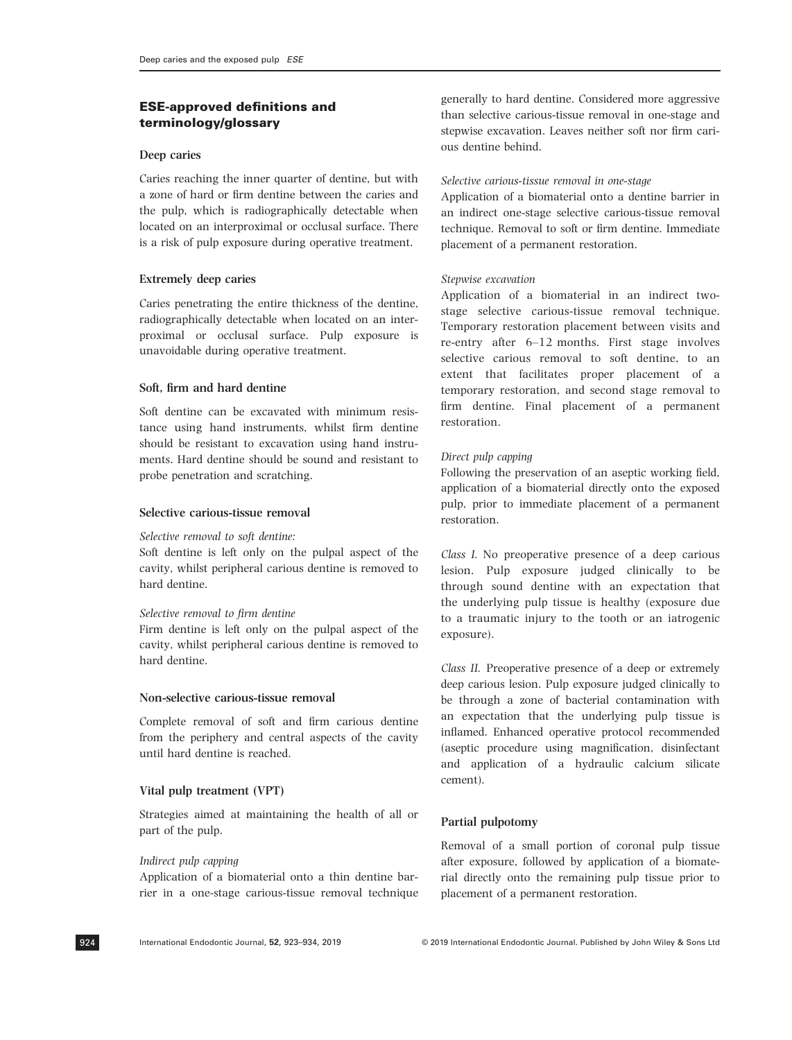# ESE-approved definitions and terminology/glossary

### Deep caries

Caries reaching the inner quarter of dentine, but with a zone of hard or firm dentine between the caries and the pulp, which is radiographically detectable when located on an interproximal or occlusal surface. There is a risk of pulp exposure during operative treatment.

### Extremely deep caries

Caries penetrating the entire thickness of the dentine, radiographically detectable when located on an interproximal or occlusal surface. Pulp exposure is unavoidable during operative treatment.

# Soft, firm and hard dentine

Soft dentine can be excavated with minimum resistance using hand instruments, whilst firm dentine should be resistant to excavation using hand instruments. Hard dentine should be sound and resistant to probe penetration and scratching.

### Selective carious-tissue removal

### Selective removal to soft dentine:

Soft dentine is left only on the pulpal aspect of the cavity, whilst peripheral carious dentine is removed to hard dentine.

### Selective removal to firm dentine

Firm dentine is left only on the pulpal aspect of the cavity, whilst peripheral carious dentine is removed to hard dentine.

### Non-selective carious-tissue removal

Complete removal of soft and firm carious dentine from the periphery and central aspects of the cavity until hard dentine is reached.

### Vital pulp treatment (VPT)

Strategies aimed at maintaining the health of all or part of the pulp.

## Indirect pulp capping

Application of a biomaterial onto a thin dentine barrier in a one-stage carious-tissue removal technique generally to hard dentine. Considered more aggressive than selective carious-tissue removal in one-stage and stepwise excavation. Leaves neither soft nor firm carious dentine behind.

### Selective carious-tissue removal in one-stage

Application of a biomaterial onto a dentine barrier in an indirect one-stage selective carious-tissue removal technique. Removal to soft or firm dentine. Immediate placement of a permanent restoration.

### Stepwise excavation

Application of a biomaterial in an indirect twostage selective carious-tissue removal technique. Temporary restoration placement between visits and re-entry after 6–12 months. First stage involves selective carious removal to soft dentine, to an extent that facilitates proper placement of a temporary restoration, and second stage removal to firm dentine. Final placement of a permanent restoration.

### Direct pulp capping

Following the preservation of an aseptic working field, application of a biomaterial directly onto the exposed pulp, prior to immediate placement of a permanent restoration.

Class I. No preoperative presence of a deep carious lesion. Pulp exposure judged clinically to be through sound dentine with an expectation that the underlying pulp tissue is healthy (exposure due to a traumatic injury to the tooth or an iatrogenic exposure).

Class II. Preoperative presence of a deep or extremely deep carious lesion. Pulp exposure judged clinically to be through a zone of bacterial contamination with an expectation that the underlying pulp tissue is inflamed. Enhanced operative protocol recommended (aseptic procedure using magnification, disinfectant and application of a hydraulic calcium silicate cement).

# Partial pulpotomy

Removal of a small portion of coronal pulp tissue after exposure, followed by application of a biomaterial directly onto the remaining pulp tissue prior to placement of a permanent restoration.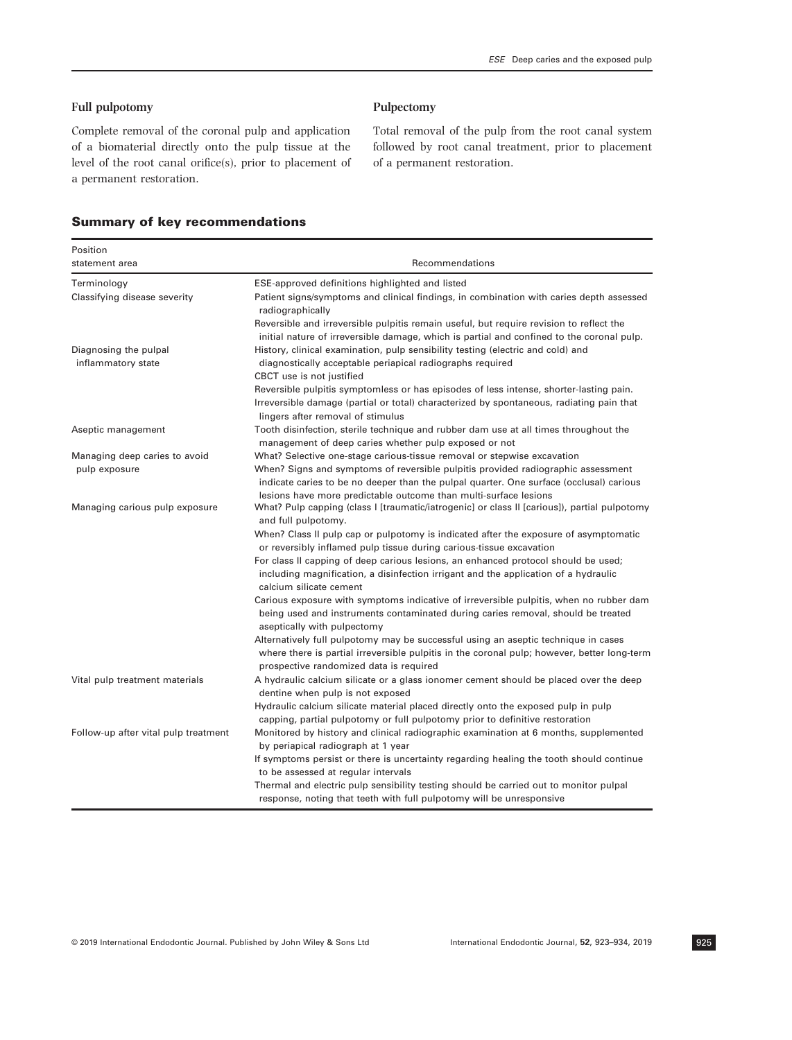# Full pulpotomy

Complete removal of the coronal pulp and application of a biomaterial directly onto the pulp tissue at the level of the root canal orifice(s), prior to placement of a permanent restoration.

# Pulpectomy

Total removal of the pulp from the root canal system followed by root canal treatment, prior to placement of a permanent restoration.

# Summary of key recommendations

| Position<br>statement area                  | Recommendations                                                                                                                                                                                                                                 |
|---------------------------------------------|-------------------------------------------------------------------------------------------------------------------------------------------------------------------------------------------------------------------------------------------------|
| Terminology                                 | ESE-approved definitions highlighted and listed                                                                                                                                                                                                 |
| Classifying disease severity                | Patient signs/symptoms and clinical findings, in combination with caries depth assessed<br>radiographically                                                                                                                                     |
|                                             | Reversible and irreversible pulpitis remain useful, but require revision to reflect the<br>initial nature of irreversible damage, which is partial and confined to the coronal pulp.                                                            |
| Diagnosing the pulpal<br>inflammatory state | History, clinical examination, pulp sensibility testing (electric and cold) and<br>diagnostically acceptable periapical radiographs required<br>CBCT use is not justified                                                                       |
|                                             | Reversible pulpitis symptomless or has episodes of less intense, shorter-lasting pain.<br>Irreversible damage (partial or total) characterized by spontaneous, radiating pain that<br>lingers after removal of stimulus                         |
| Aseptic management                          | Tooth disinfection, sterile technique and rubber dam use at all times throughout the<br>management of deep caries whether pulp exposed or not                                                                                                   |
| Managing deep caries to avoid               | What? Selective one-stage carious-tissue removal or stepwise excavation                                                                                                                                                                         |
| pulp exposure                               | When? Signs and symptoms of reversible pulpitis provided radiographic assessment<br>indicate caries to be no deeper than the pulpal quarter. One surface (occlusal) carious<br>lesions have more predictable outcome than multi-surface lesions |
| Managing carious pulp exposure              | What? Pulp capping (class I [traumatic/iatrogenic] or class II [carious]), partial pulpotomy<br>and full pulpotomy.                                                                                                                             |
|                                             | When? Class II pulp cap or pulpotomy is indicated after the exposure of asymptomatic                                                                                                                                                            |
|                                             | or reversibly inflamed pulp tissue during carious-tissue excavation                                                                                                                                                                             |
|                                             | For class II capping of deep carious lesions, an enhanced protocol should be used;<br>including magnification, a disinfection irrigant and the application of a hydraulic<br>calcium silicate cement                                            |
|                                             | Carious exposure with symptoms indicative of irreversible pulpitis, when no rubber dam<br>being used and instruments contaminated during caries removal, should be treated<br>aseptically with pulpectomy                                       |
|                                             | Alternatively full pulpotomy may be successful using an aseptic technique in cases<br>where there is partial irreversible pulpitis in the coronal pulp; however, better long-term<br>prospective randomized data is required                    |
| Vital pulp treatment materials              | A hydraulic calcium silicate or a glass ionomer cement should be placed over the deep<br>dentine when pulp is not exposed                                                                                                                       |
|                                             | Hydraulic calcium silicate material placed directly onto the exposed pulp in pulp<br>capping, partial pulpotomy or full pulpotomy prior to definitive restoration                                                                               |
| Follow-up after vital pulp treatment        | Monitored by history and clinical radiographic examination at 6 months, supplemented<br>by periapical radiograph at 1 year                                                                                                                      |
|                                             | If symptoms persist or there is uncertainty regarding healing the tooth should continue<br>to be assessed at regular intervals                                                                                                                  |
|                                             | Thermal and electric pulp sensibility testing should be carried out to monitor pulpal<br>response, noting that teeth with full pulpotomy will be unresponsive                                                                                   |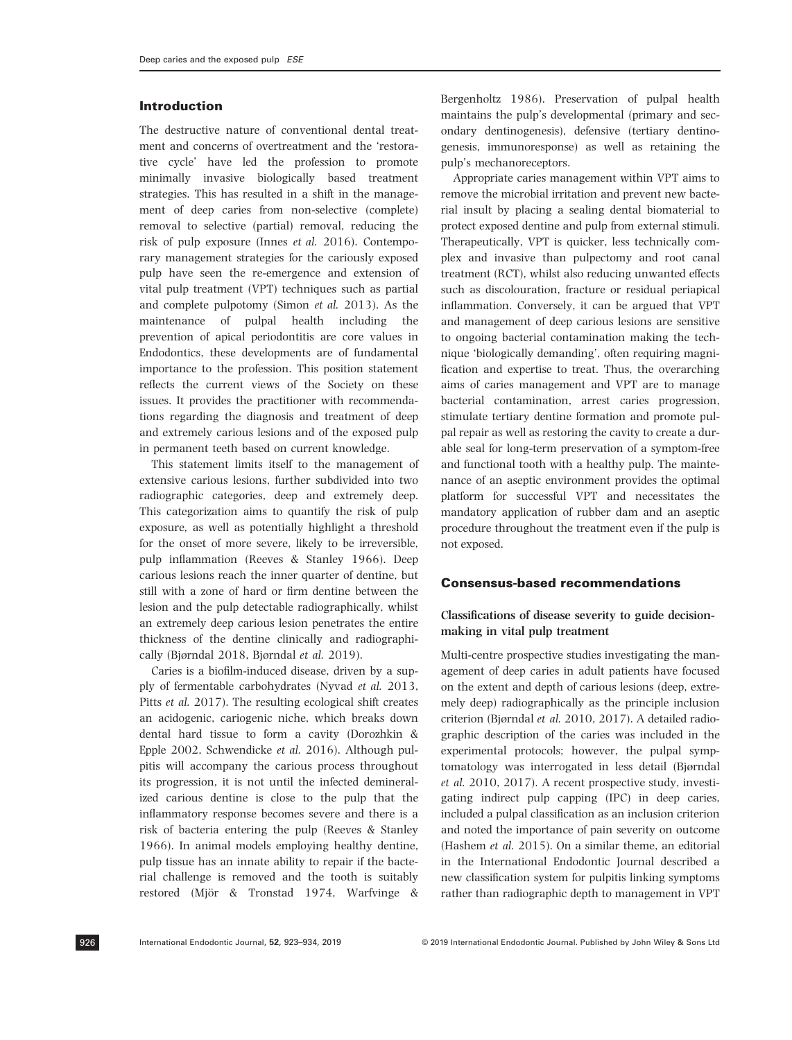# Introduction

The destructive nature of conventional dental treatment and concerns of overtreatment and the 'restorative cycle' have led the profession to promote minimally invasive biologically based treatment strategies. This has resulted in a shift in the management of deep caries from non-selective (complete) removal to selective (partial) removal, reducing the risk of pulp exposure (Innes et al. 2016). Contemporary management strategies for the cariously exposed pulp have seen the re-emergence and extension of vital pulp treatment (VPT) techniques such as partial and complete pulpotomy (Simon et al. 2013). As the maintenance of pulpal health including the prevention of apical periodontitis are core values in Endodontics, these developments are of fundamental importance to the profession. This position statement reflects the current views of the Society on these issues. It provides the practitioner with recommendations regarding the diagnosis and treatment of deep and extremely carious lesions and of the exposed pulp in permanent teeth based on current knowledge.

This statement limits itself to the management of extensive carious lesions, further subdivided into two radiographic categories, deep and extremely deep. This categorization aims to quantify the risk of pulp exposure, as well as potentially highlight a threshold for the onset of more severe, likely to be irreversible, pulp inflammation (Reeves & Stanley 1966). Deep carious lesions reach the inner quarter of dentine, but still with a zone of hard or firm dentine between the lesion and the pulp detectable radiographically, whilst an extremely deep carious lesion penetrates the entire thickness of the dentine clinically and radiographically (Bjørndal 2018, Bjørndal et al. 2019).

Caries is a biofilm-induced disease, driven by a supply of fermentable carbohydrates (Nyvad et al. 2013, Pitts et al. 2017). The resulting ecological shift creates an acidogenic, cariogenic niche, which breaks down dental hard tissue to form a cavity (Dorozhkin & Epple 2002, Schwendicke et al. 2016). Although pulpitis will accompany the carious process throughout its progression, it is not until the infected demineralized carious dentine is close to the pulp that the inflammatory response becomes severe and there is a risk of bacteria entering the pulp (Reeves & Stanley 1966). In animal models employing healthy dentine, pulp tissue has an innate ability to repair if the bacterial challenge is removed and the tooth is suitably restored (Mjör & Tronstad 1974, Warfvinge &

Bergenholtz 1986). Preservation of pulpal health maintains the pulp's developmental (primary and secondary dentinogenesis), defensive (tertiary dentinogenesis, immunoresponse) as well as retaining the pulp's mechanoreceptors.

Appropriate caries management within VPT aims to remove the microbial irritation and prevent new bacterial insult by placing a sealing dental biomaterial to protect exposed dentine and pulp from external stimuli. Therapeutically, VPT is quicker, less technically complex and invasive than pulpectomy and root canal treatment (RCT), whilst also reducing unwanted effects such as discolouration, fracture or residual periapical inflammation. Conversely, it can be argued that VPT and management of deep carious lesions are sensitive to ongoing bacterial contamination making the technique 'biologically demanding', often requiring magnification and expertise to treat. Thus, the overarching aims of caries management and VPT are to manage bacterial contamination, arrest caries progression, stimulate tertiary dentine formation and promote pulpal repair as well as restoring the cavity to create a durable seal for long-term preservation of a symptom-free and functional tooth with a healthy pulp. The maintenance of an aseptic environment provides the optimal platform for successful VPT and necessitates the mandatory application of rubber dam and an aseptic procedure throughout the treatment even if the pulp is not exposed.

# Consensus-based recommendations

# Classifications of disease severity to guide decisionmaking in vital pulp treatment

Multi-centre prospective studies investigating the management of deep caries in adult patients have focused on the extent and depth of carious lesions (deep, extremely deep) radiographically as the principle inclusion criterion (Bjørndal et al. 2010, 2017). A detailed radiographic description of the caries was included in the experimental protocols; however, the pulpal symptomatology was interrogated in less detail (Bjørndal et al. 2010, 2017). A recent prospective study, investigating indirect pulp capping (IPC) in deep caries, included a pulpal classification as an inclusion criterion and noted the importance of pain severity on outcome (Hashem et al. 2015). On a similar theme, an editorial in the International Endodontic Journal described a new classification system for pulpitis linking symptoms rather than radiographic depth to management in VPT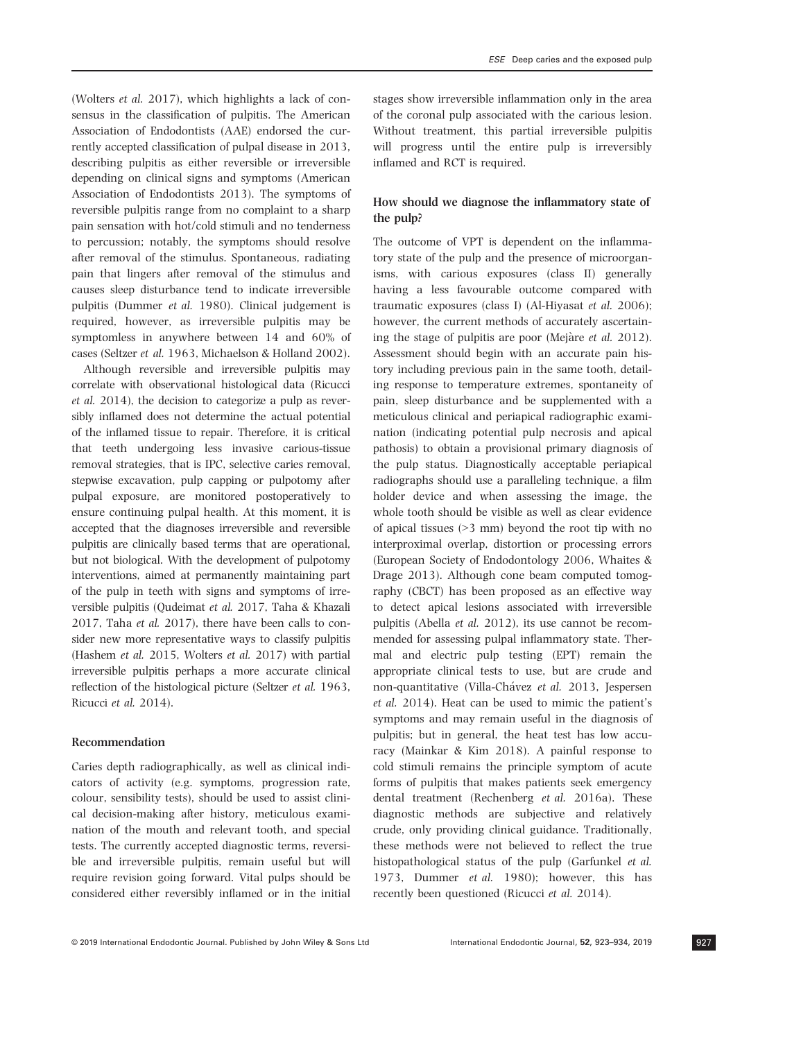(Wolters et al. 2017), which highlights a lack of consensus in the classification of pulpitis. The American Association of Endodontists (AAE) endorsed the currently accepted classification of pulpal disease in 2013, describing pulpitis as either reversible or irreversible depending on clinical signs and symptoms (American Association of Endodontists 2013). The symptoms of reversible pulpitis range from no complaint to a sharp pain sensation with hot/cold stimuli and no tenderness to percussion; notably, the symptoms should resolve after removal of the stimulus. Spontaneous, radiating pain that lingers after removal of the stimulus and causes sleep disturbance tend to indicate irreversible pulpitis (Dummer et al. 1980). Clinical judgement is required, however, as irreversible pulpitis may be symptomless in anywhere between 14 and 60% of cases (Seltzer et al. 1963, Michaelson & Holland 2002).

Although reversible and irreversible pulpitis may correlate with observational histological data (Ricucci et al. 2014), the decision to categorize a pulp as reversibly inflamed does not determine the actual potential of the inflamed tissue to repair. Therefore, it is critical that teeth undergoing less invasive carious-tissue removal strategies, that is IPC, selective caries removal, stepwise excavation, pulp capping or pulpotomy after pulpal exposure, are monitored postoperatively to ensure continuing pulpal health. At this moment, it is accepted that the diagnoses irreversible and reversible pulpitis are clinically based terms that are operational, but not biological. With the development of pulpotomy interventions, aimed at permanently maintaining part of the pulp in teeth with signs and symptoms of irreversible pulpitis (Qudeimat et al. 2017, Taha & Khazali 2017, Taha et al. 2017), there have been calls to consider new more representative ways to classify pulpitis (Hashem et al. 2015, Wolters et al. 2017) with partial irreversible pulpitis perhaps a more accurate clinical reflection of the histological picture (Seltzer et al. 1963, Ricucci et al. 2014).

### Recommendation

Caries depth radiographically, as well as clinical indicators of activity (e.g. symptoms, progression rate, colour, sensibility tests), should be used to assist clinical decision-making after history, meticulous examination of the mouth and relevant tooth, and special tests. The currently accepted diagnostic terms, reversible and irreversible pulpitis, remain useful but will require revision going forward. Vital pulps should be considered either reversibly inflamed or in the initial stages show irreversible inflammation only in the area of the coronal pulp associated with the carious lesion. Without treatment, this partial irreversible pulpitis will progress until the entire pulp is irreversibly inflamed and RCT is required.

# How should we diagnose the inflammatory state of the pulp?

The outcome of VPT is dependent on the inflammatory state of the pulp and the presence of microorganisms, with carious exposures (class II) generally having a less favourable outcome compared with traumatic exposures (class I) (Al-Hiyasat et al. 2006); however, the current methods of accurately ascertaining the stage of pulpitis are poor (Mejàre et al. 2012). Assessment should begin with an accurate pain history including previous pain in the same tooth, detailing response to temperature extremes, spontaneity of pain, sleep disturbance and be supplemented with a meticulous clinical and periapical radiographic examination (indicating potential pulp necrosis and apical pathosis) to obtain a provisional primary diagnosis of the pulp status. Diagnostically acceptable periapical radiographs should use a paralleling technique, a film holder device and when assessing the image, the whole tooth should be visible as well as clear evidence of apical tissues (>3 mm) beyond the root tip with no interproximal overlap, distortion or processing errors (European Society of Endodontology 2006, Whaites & Drage 2013). Although cone beam computed tomography (CBCT) has been proposed as an effective way to detect apical lesions associated with irreversible pulpitis (Abella et al. 2012), its use cannot be recommended for assessing pulpal inflammatory state. Thermal and electric pulp testing (EPT) remain the appropriate clinical tests to use, but are crude and non-quantitative (Villa-Chavez et al. 2013, Jespersen et al. 2014). Heat can be used to mimic the patient's symptoms and may remain useful in the diagnosis of pulpitis; but in general, the heat test has low accuracy (Mainkar & Kim 2018). A painful response to cold stimuli remains the principle symptom of acute forms of pulpitis that makes patients seek emergency dental treatment (Rechenberg et al. 2016a). These diagnostic methods are subjective and relatively crude, only providing clinical guidance. Traditionally, these methods were not believed to reflect the true histopathological status of the pulp (Garfunkel et al. 1973, Dummer et al. 1980); however, this has recently been questioned (Ricucci et al. 2014).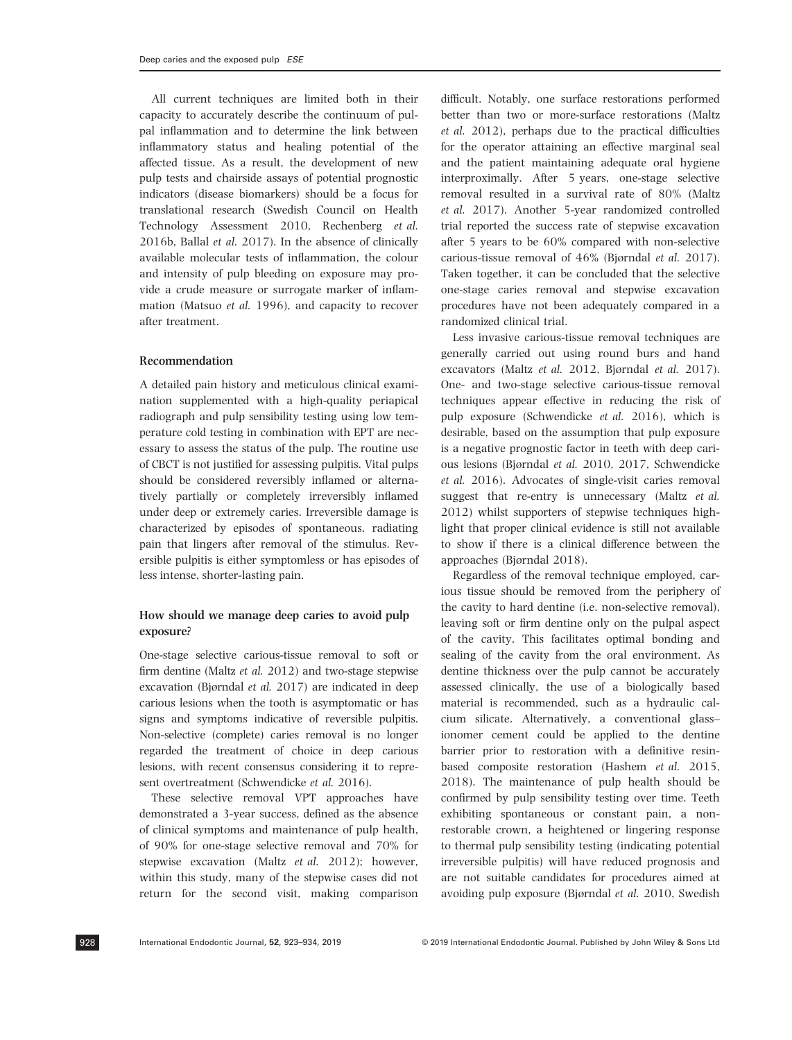All current techniques are limited both in their capacity to accurately describe the continuum of pulpal inflammation and to determine the link between inflammatory status and healing potential of the affected tissue. As a result, the development of new pulp tests and chairside assays of potential prognostic indicators (disease biomarkers) should be a focus for translational research (Swedish Council on Health Technology Assessment 2010, Rechenberg et al. 2016b, Ballal et al. 2017). In the absence of clinically available molecular tests of inflammation, the colour and intensity of pulp bleeding on exposure may provide a crude measure or surrogate marker of inflammation (Matsuo et al. 1996), and capacity to recover after treatment.

### Recommendation

A detailed pain history and meticulous clinical examination supplemented with a high-quality periapical radiograph and pulp sensibility testing using low temperature cold testing in combination with EPT are necessary to assess the status of the pulp. The routine use of CBCT is not justified for assessing pulpitis. Vital pulps should be considered reversibly inflamed or alternatively partially or completely irreversibly inflamed under deep or extremely caries. Irreversible damage is characterized by episodes of spontaneous, radiating pain that lingers after removal of the stimulus. Reversible pulpitis is either symptomless or has episodes of less intense, shorter-lasting pain.

# How should we manage deep caries to avoid pulp exposure?

One-stage selective carious-tissue removal to soft or firm dentine (Maltz et al. 2012) and two-stage stepwise excavation (Bjørndal et al. 2017) are indicated in deep carious lesions when the tooth is asymptomatic or has signs and symptoms indicative of reversible pulpitis. Non-selective (complete) caries removal is no longer regarded the treatment of choice in deep carious lesions, with recent consensus considering it to represent overtreatment (Schwendicke et al. 2016).

These selective removal VPT approaches have demonstrated a 3-year success, defined as the absence of clinical symptoms and maintenance of pulp health, of 90% for one-stage selective removal and 70% for stepwise excavation (Maltz et al. 2012); however, within this study, many of the stepwise cases did not return for the second visit, making comparison

difficult. Notably, one surface restorations performed better than two or more-surface restorations (Maltz et al. 2012), perhaps due to the practical difficulties for the operator attaining an effective marginal seal and the patient maintaining adequate oral hygiene interproximally. After 5 years, one-stage selective removal resulted in a survival rate of 80% (Maltz et al. 2017). Another 5-year randomized controlled trial reported the success rate of stepwise excavation after 5 years to be 60% compared with non-selective carious-tissue removal of 46% (Bjørndal et al. 2017). Taken together, it can be concluded that the selective one-stage caries removal and stepwise excavation procedures have not been adequately compared in a randomized clinical trial.

Less invasive carious-tissue removal techniques are generally carried out using round burs and hand excavators (Maltz et al. 2012, Bjørndal et al. 2017). One- and two-stage selective carious-tissue removal techniques appear effective in reducing the risk of pulp exposure (Schwendicke et al. 2016), which is desirable, based on the assumption that pulp exposure is a negative prognostic factor in teeth with deep carious lesions (Bjørndal et al. 2010, 2017, Schwendicke et al. 2016). Advocates of single-visit caries removal suggest that re-entry is unnecessary (Maltz et al. 2012) whilst supporters of stepwise techniques highlight that proper clinical evidence is still not available to show if there is a clinical difference between the approaches (Bjørndal 2018).

Regardless of the removal technique employed, carious tissue should be removed from the periphery of the cavity to hard dentine (i.e. non-selective removal), leaving soft or firm dentine only on the pulpal aspect of the cavity. This facilitates optimal bonding and sealing of the cavity from the oral environment. As dentine thickness over the pulp cannot be accurately assessed clinically, the use of a biologically based material is recommended, such as a hydraulic calcium silicate. Alternatively, a conventional glass– ionomer cement could be applied to the dentine barrier prior to restoration with a definitive resinbased composite restoration (Hashem et al. 2015, 2018). The maintenance of pulp health should be confirmed by pulp sensibility testing over time. Teeth exhibiting spontaneous or constant pain, a nonrestorable crown, a heightened or lingering response to thermal pulp sensibility testing (indicating potential irreversible pulpitis) will have reduced prognosis and are not suitable candidates for procedures aimed at avoiding pulp exposure (Bjørndal et al. 2010, Swedish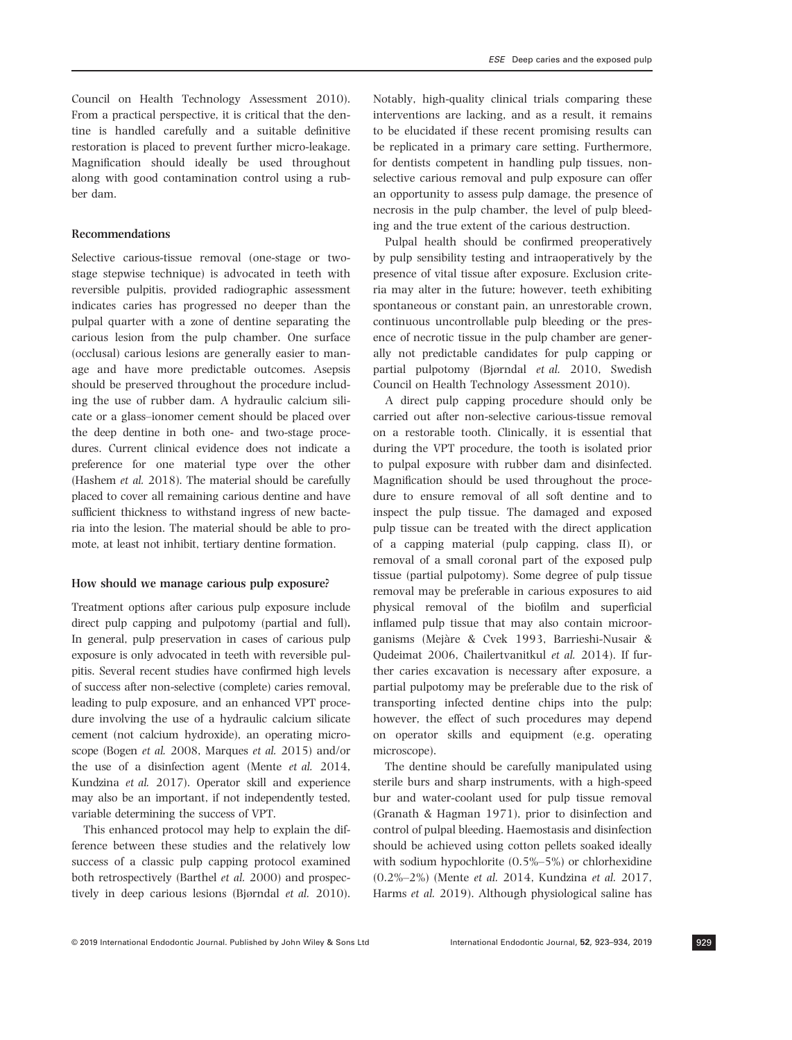### Recommendations

Selective carious-tissue removal (one-stage or twostage stepwise technique) is advocated in teeth with reversible pulpitis, provided radiographic assessment indicates caries has progressed no deeper than the pulpal quarter with a zone of dentine separating the carious lesion from the pulp chamber. One surface (occlusal) carious lesions are generally easier to manage and have more predictable outcomes. Asepsis should be preserved throughout the procedure including the use of rubber dam. A hydraulic calcium silicate or a glass–ionomer cement should be placed over the deep dentine in both one- and two-stage procedures. Current clinical evidence does not indicate a preference for one material type over the other (Hashem et al. 2018). The material should be carefully placed to cover all remaining carious dentine and have sufficient thickness to withstand ingress of new bacteria into the lesion. The material should be able to promote, at least not inhibit, tertiary dentine formation.

### How should we manage carious pulp exposure?

Treatment options after carious pulp exposure include direct pulp capping and pulpotomy (partial and full). In general, pulp preservation in cases of carious pulp exposure is only advocated in teeth with reversible pulpitis. Several recent studies have confirmed high levels of success after non-selective (complete) caries removal, leading to pulp exposure, and an enhanced VPT procedure involving the use of a hydraulic calcium silicate cement (not calcium hydroxide), an operating microscope (Bogen et al. 2008, Marques et al. 2015) and/or the use of a disinfection agent (Mente et al. 2014, Kundzina et al. 2017). Operator skill and experience may also be an important, if not independently tested, variable determining the success of VPT.

This enhanced protocol may help to explain the difference between these studies and the relatively low success of a classic pulp capping protocol examined both retrospectively (Barthel et al. 2000) and prospectively in deep carious lesions (Bjørndal et al. 2010). Notably, high-quality clinical trials comparing these interventions are lacking, and as a result, it remains to be elucidated if these recent promising results can be replicated in a primary care setting. Furthermore, for dentists competent in handling pulp tissues, nonselective carious removal and pulp exposure can offer an opportunity to assess pulp damage, the presence of necrosis in the pulp chamber, the level of pulp bleeding and the true extent of the carious destruction.

Pulpal health should be confirmed preoperatively by pulp sensibility testing and intraoperatively by the presence of vital tissue after exposure. Exclusion criteria may alter in the future; however, teeth exhibiting spontaneous or constant pain, an unrestorable crown, continuous uncontrollable pulp bleeding or the presence of necrotic tissue in the pulp chamber are generally not predictable candidates for pulp capping or partial pulpotomy (Bjørndal et al. 2010, Swedish Council on Health Technology Assessment 2010).

A direct pulp capping procedure should only be carried out after non-selective carious-tissue removal on a restorable tooth. Clinically, it is essential that during the VPT procedure, the tooth is isolated prior to pulpal exposure with rubber dam and disinfected. Magnification should be used throughout the procedure to ensure removal of all soft dentine and to inspect the pulp tissue. The damaged and exposed pulp tissue can be treated with the direct application of a capping material (pulp capping, class II), or removal of a small coronal part of the exposed pulp tissue (partial pulpotomy). Some degree of pulp tissue removal may be preferable in carious exposures to aid physical removal of the biofilm and superficial inflamed pulp tissue that may also contain microorganisms (Mejàre & Cvek 1993, Barrieshi-Nusair & Qudeimat 2006, Chailertvanitkul et al. 2014). If further caries excavation is necessary after exposure, a partial pulpotomy may be preferable due to the risk of transporting infected dentine chips into the pulp; however, the effect of such procedures may depend on operator skills and equipment (e.g. operating microscope).

The dentine should be carefully manipulated using sterile burs and sharp instruments, with a high-speed bur and water-coolant used for pulp tissue removal (Granath & Hagman 1971), prior to disinfection and control of pulpal bleeding. Haemostasis and disinfection should be achieved using cotton pellets soaked ideally with sodium hypochlorite (0.5%–5%) or chlorhexidine (0.2%–2%) (Mente et al. 2014, Kundzina et al. 2017, Harms et al. 2019). Although physiological saline has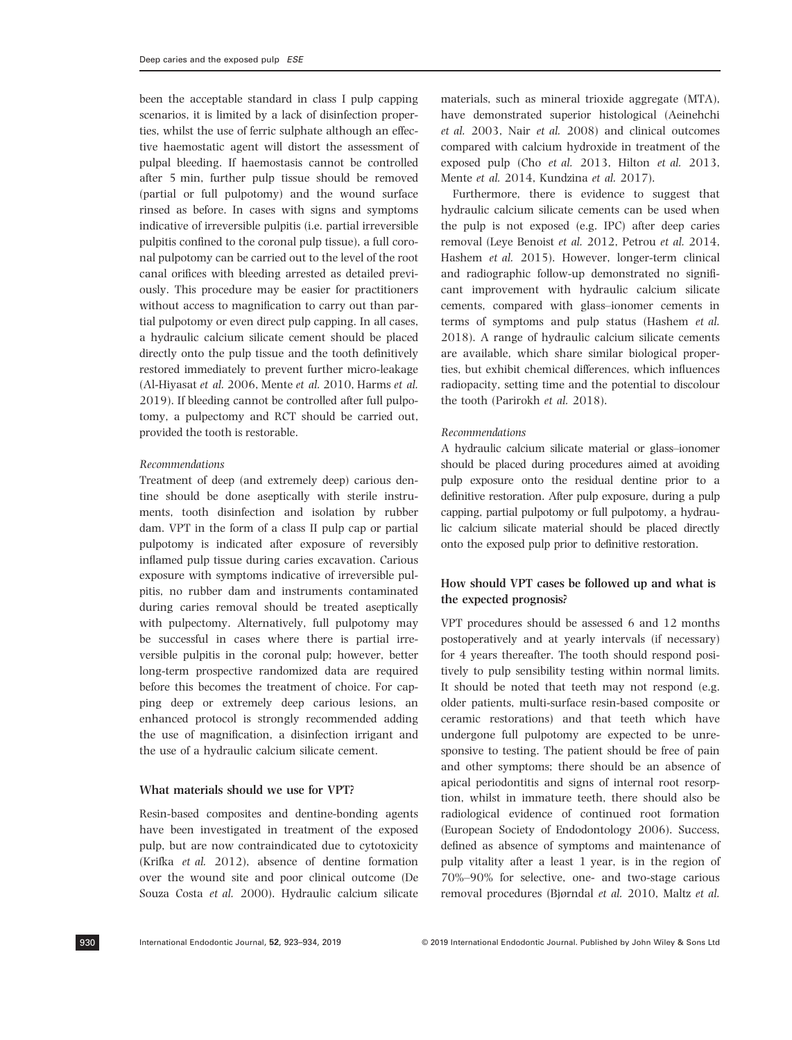been the acceptable standard in class I pulp capping scenarios, it is limited by a lack of disinfection properties, whilst the use of ferric sulphate although an effective haemostatic agent will distort the assessment of pulpal bleeding. If haemostasis cannot be controlled after 5 min, further pulp tissue should be removed (partial or full pulpotomy) and the wound surface rinsed as before. In cases with signs and symptoms indicative of irreversible pulpitis (i.e. partial irreversible pulpitis confined to the coronal pulp tissue), a full coronal pulpotomy can be carried out to the level of the root canal orifices with bleeding arrested as detailed previously. This procedure may be easier for practitioners without access to magnification to carry out than partial pulpotomy or even direct pulp capping. In all cases, a hydraulic calcium silicate cement should be placed directly onto the pulp tissue and the tooth definitively restored immediately to prevent further micro-leakage (Al-Hiyasat et al. 2006, Mente et al. 2010, Harms et al. 2019). If bleeding cannot be controlled after full pulpotomy, a pulpectomy and RCT should be carried out, provided the tooth is restorable.

### Recommendations

Treatment of deep (and extremely deep) carious dentine should be done aseptically with sterile instruments, tooth disinfection and isolation by rubber dam. VPT in the form of a class II pulp cap or partial pulpotomy is indicated after exposure of reversibly inflamed pulp tissue during caries excavation. Carious exposure with symptoms indicative of irreversible pulpitis, no rubber dam and instruments contaminated during caries removal should be treated aseptically with pulpectomy. Alternatively, full pulpotomy may be successful in cases where there is partial irreversible pulpitis in the coronal pulp; however, better long-term prospective randomized data are required before this becomes the treatment of choice. For capping deep or extremely deep carious lesions, an enhanced protocol is strongly recommended adding the use of magnification, a disinfection irrigant and the use of a hydraulic calcium silicate cement.

### What materials should we use for VPT?

Resin-based composites and dentine-bonding agents have been investigated in treatment of the exposed pulp, but are now contraindicated due to cytotoxicity (Krifka et al. 2012), absence of dentine formation over the wound site and poor clinical outcome (De Souza Costa et al. 2000). Hydraulic calcium silicate materials, such as mineral trioxide aggregate (MTA), have demonstrated superior histological (Aeinehchi et al. 2003, Nair et al. 2008) and clinical outcomes compared with calcium hydroxide in treatment of the exposed pulp (Cho et al. 2013, Hilton et al. 2013, Mente et al. 2014, Kundzina et al. 2017).

Furthermore, there is evidence to suggest that hydraulic calcium silicate cements can be used when the pulp is not exposed (e.g. IPC) after deep caries removal (Leye Benoist et al. 2012, Petrou et al. 2014, Hashem et al. 2015). However, longer-term clinical and radiographic follow-up demonstrated no significant improvement with hydraulic calcium silicate cements, compared with glass–ionomer cements in terms of symptoms and pulp status (Hashem et al. 2018). A range of hydraulic calcium silicate cements are available, which share similar biological properties, but exhibit chemical differences, which influences radiopacity, setting time and the potential to discolour the tooth (Parirokh et al. 2018).

### Recommendations

A hydraulic calcium silicate material or glass–ionomer should be placed during procedures aimed at avoiding pulp exposure onto the residual dentine prior to a definitive restoration. After pulp exposure, during a pulp capping, partial pulpotomy or full pulpotomy, a hydraulic calcium silicate material should be placed directly onto the exposed pulp prior to definitive restoration.

# How should VPT cases be followed up and what is the expected prognosis?

VPT procedures should be assessed 6 and 12 months postoperatively and at yearly intervals (if necessary) for 4 years thereafter. The tooth should respond positively to pulp sensibility testing within normal limits. It should be noted that teeth may not respond (e.g. older patients, multi-surface resin-based composite or ceramic restorations) and that teeth which have undergone full pulpotomy are expected to be unresponsive to testing. The patient should be free of pain and other symptoms; there should be an absence of apical periodontitis and signs of internal root resorption, whilst in immature teeth, there should also be radiological evidence of continued root formation (European Society of Endodontology 2006). Success, defined as absence of symptoms and maintenance of pulp vitality after a least 1 year, is in the region of 70%–90% for selective, one- and two-stage carious removal procedures (Bjørndal et al. 2010, Maltz et al.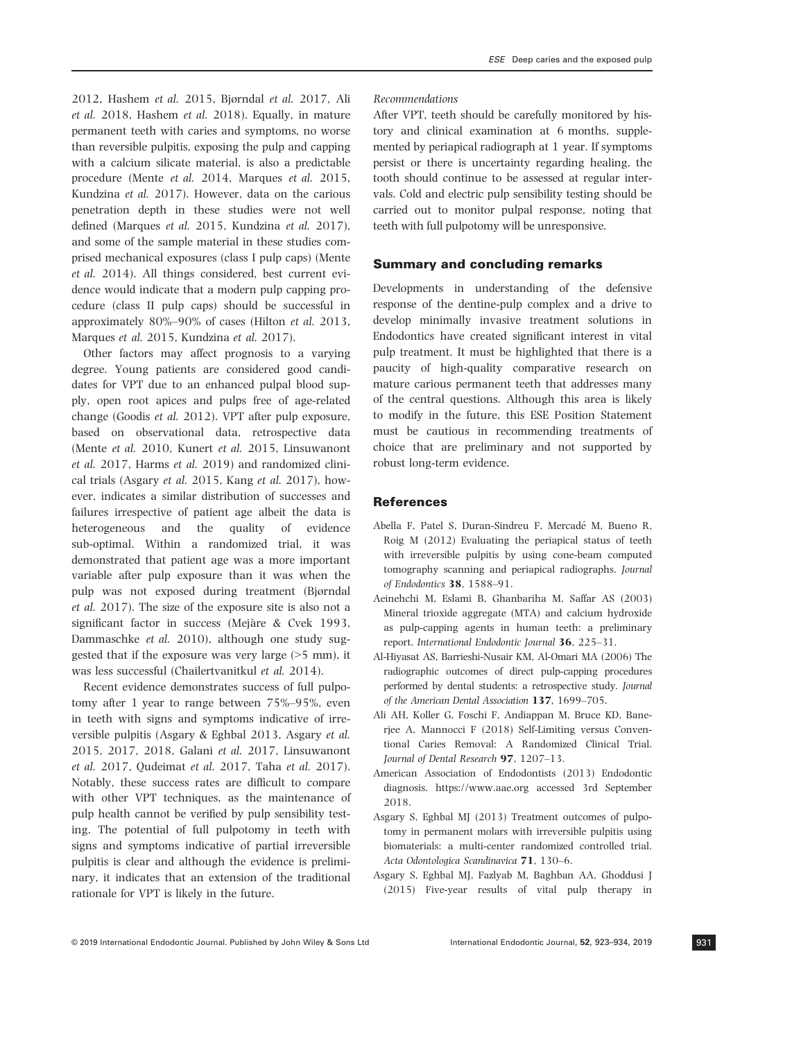2012, Hashem et al. 2015, Bjørndal et al. 2017, Ali et al. 2018, Hashem et al. 2018). Equally, in mature permanent teeth with caries and symptoms, no worse than reversible pulpitis, exposing the pulp and capping with a calcium silicate material, is also a predictable procedure (Mente et al. 2014, Marques et al. 2015, Kundzina et al. 2017). However, data on the carious penetration depth in these studies were not well defined (Marques et al. 2015, Kundzina et al. 2017), and some of the sample material in these studies comprised mechanical exposures (class I pulp caps) (Mente et al. 2014). All things considered, best current evidence would indicate that a modern pulp capping procedure (class II pulp caps) should be successful in approximately 80%–90% of cases (Hilton et al. 2013, Marques et al. 2015, Kundzina et al. 2017).

Other factors may affect prognosis to a varying degree. Young patients are considered good candidates for VPT due to an enhanced pulpal blood supply, open root apices and pulps free of age-related change (Goodis et al. 2012). VPT after pulp exposure, based on observational data, retrospective data (Mente et al. 2010, Kunert et al. 2015, Linsuwanont et al. 2017, Harms et al. 2019) and randomized clinical trials (Asgary et al. 2015, Kang et al. 2017), however, indicates a similar distribution of successes and failures irrespective of patient age albeit the data is heterogeneous and the quality of evidence sub-optimal. Within a randomized trial, it was demonstrated that patient age was a more important variable after pulp exposure than it was when the pulp was not exposed during treatment (Bjørndal et al. 2017). The size of the exposure site is also not a significant factor in success (Mejàre & Cvek 1993, Dammaschke et al. 2010), although one study suggested that if the exposure was very large (>5 mm), it was less successful (Chailertvanitkul et al. 2014).

Recent evidence demonstrates success of full pulpotomy after 1 year to range between 75%–95%, even in teeth with signs and symptoms indicative of irreversible pulpitis (Asgary & Eghbal 2013, Asgary et al. 2015, 2017, 2018, Galani et al. 2017, Linsuwanont et al. 2017, Qudeimat et al. 2017, Taha et al. 2017). Notably, these success rates are difficult to compare with other VPT techniques, as the maintenance of pulp health cannot be verified by pulp sensibility testing. The potential of full pulpotomy in teeth with signs and symptoms indicative of partial irreversible pulpitis is clear and although the evidence is preliminary, it indicates that an extension of the traditional rationale for VPT is likely in the future.

#### Recommendations

After VPT, teeth should be carefully monitored by history and clinical examination at 6 months, supplemented by periapical radiograph at 1 year. If symptoms persist or there is uncertainty regarding healing, the tooth should continue to be assessed at regular intervals. Cold and electric pulp sensibility testing should be carried out to monitor pulpal response, noting that teeth with full pulpotomy will be unresponsive.

# Summary and concluding remarks

Developments in understanding of the defensive response of the dentine-pulp complex and a drive to develop minimally invasive treatment solutions in Endodontics have created significant interest in vital pulp treatment. It must be highlighted that there is a paucity of high-quality comparative research on mature carious permanent teeth that addresses many of the central questions. Although this area is likely to modify in the future, this ESE Position Statement must be cautious in recommending treatments of choice that are preliminary and not supported by robust long-term evidence.

### References

- Abella F, Patel S, Duran-Sindreu F, Mercadé M, Bueno R, Roig M (2012) Evaluating the periapical status of teeth with irreversible pulpitis by using cone-beam computed tomography scanning and periapical radiographs. Journal of Endodontics 38, 1588–91.
- Aeinehchi M, Eslami B, Ghanbariha M, Saffar AS (2003) Mineral trioxide aggregate (MTA) and calcium hydroxide as pulp-capping agents in human teeth: a preliminary report. International Endodontic Journal 36, 225–31.
- Al-Hiyasat AS, Barrieshi-Nusair KM, Al-Omari MA (2006) The radiographic outcomes of direct pulp-capping procedures performed by dental students: a retrospective study. Journal of the American Dental Association 137, 1699–705.
- Ali AH, Koller G, Foschi F, Andiappan M, Bruce KD, Banerjee A, Mannocci F (2018) Self-Limiting versus Conventional Caries Removal: A Randomized Clinical Trial. Journal of Dental Research 97, 1207–13.
- American Association of Endodontists (2013) Endodontic diagnosis.<https://www.aae.org> accessed 3rd September 2018.
- Asgary S, Eghbal MJ (2013) Treatment outcomes of pulpotomy in permanent molars with irreversible pulpitis using biomaterials: a multi-center randomized controlled trial. Acta Odontologica Scandinavica 71, 130–6.
- Asgary S, Eghbal MJ, Fazlyab M, Baghban AA, Ghoddusi J (2015) Five-year results of vital pulp therapy in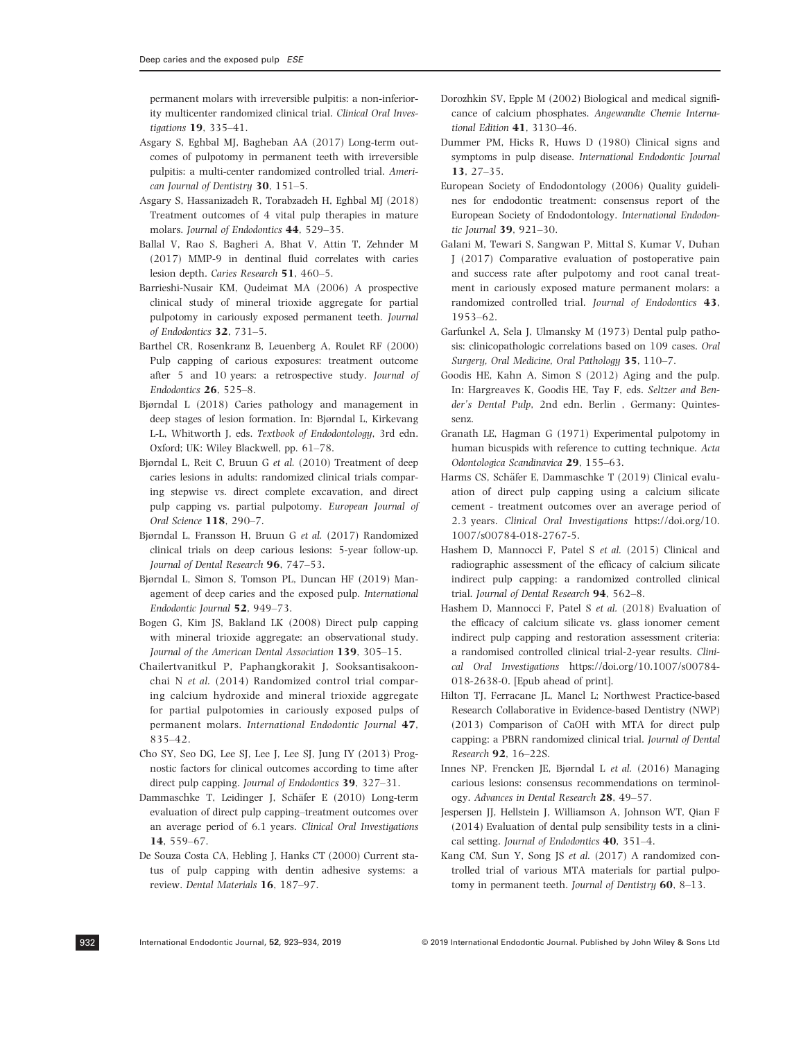permanent molars with irreversible pulpitis: a non-inferiority multicenter randomized clinical trial. Clinical Oral Investigations 19, 335–41.

- Asgary S, Eghbal MJ, Bagheban AA (2017) Long-term outcomes of pulpotomy in permanent teeth with irreversible pulpitis: a multi-center randomized controlled trial. American Journal of Dentistry 30, 151–5.
- Asgary S, Hassanizadeh R, Torabzadeh H, Eghbal MJ (2018) Treatment outcomes of 4 vital pulp therapies in mature molars. Journal of Endodontics 44, 529-35.
- Ballal V, Rao S, Bagheri A, Bhat V, Attin T, Zehnder M (2017) MMP-9 in dentinal fluid correlates with caries lesion depth. Caries Research 51, 460–5.
- Barrieshi-Nusair KM, Qudeimat MA (2006) A prospective clinical study of mineral trioxide aggregate for partial pulpotomy in cariously exposed permanent teeth. Journal of Endodontics 32, 731–5.
- Barthel CR, Rosenkranz B, Leuenberg A, Roulet RF (2000) Pulp capping of carious exposures: treatment outcome after 5 and 10 years: a retrospective study. Journal of Endodontics 26, 525–8.
- Bjørndal L (2018) Caries pathology and management in deep stages of lesion formation. In: Bjørndal L, Kirkevang L-L, Whitworth J, eds. Textbook of Endodontology, 3rd edn. Oxford; UK: Wiley Blackwell, pp. 61–78.
- Bjørndal L, Reit C, Bruun G et al. (2010) Treatment of deep caries lesions in adults: randomized clinical trials comparing stepwise vs. direct complete excavation, and direct pulp capping vs. partial pulpotomy. European Journal of Oral Science 118, 290–7.
- Bjørndal L, Fransson H, Bruun G et al. (2017) Randomized clinical trials on deep carious lesions: 5-year follow-up. Journal of Dental Research 96, 747–53.
- Bjørndal L, Simon S, Tomson PL, Duncan HF (2019) Management of deep caries and the exposed pulp. International Endodontic Journal 52, 949–73.
- Bogen G, Kim JS, Bakland LK (2008) Direct pulp capping with mineral trioxide aggregate: an observational study. Journal of the American Dental Association 139, 305–15.
- Chailertvanitkul P, Paphangkorakit J, Sooksantisakoonchai N et al. (2014) Randomized control trial comparing calcium hydroxide and mineral trioxide aggregate for partial pulpotomies in cariously exposed pulps of permanent molars. International Endodontic Journal 47, 835–42.
- Cho SY, Seo DG, Lee SJ, Lee J, Lee SJ, Jung IY (2013) Prognostic factors for clinical outcomes according to time after direct pulp capping. Journal of Endodontics 39, 327–31.
- Dammaschke T, Leidinger J, Schäfer E (2010) Long-term evaluation of direct pulp capping–treatment outcomes over an average period of 6.1 years. Clinical Oral Investigations 14, 559–67.
- De Souza Costa CA, Hebling J, Hanks CT (2000) Current status of pulp capping with dentin adhesive systems: a review. Dental Materials 16, 187–97.
- Dorozhkin SV, Epple M (2002) Biological and medical significance of calcium phosphates. Angewandte Chemie International Edition 41, 3130–46.
- Dummer PM, Hicks R, Huws D (1980) Clinical signs and symptoms in pulp disease. International Endodontic Journal 13, 27–35.
- European Society of Endodontology (2006) Quality guidelines for endodontic treatment: consensus report of the European Society of Endodontology. International Endodontic Journal 39, 921–30.
- Galani M, Tewari S, Sangwan P, Mittal S, Kumar V, Duhan J (2017) Comparative evaluation of postoperative pain and success rate after pulpotomy and root canal treatment in cariously exposed mature permanent molars: a randomized controlled trial. Journal of Endodontics 43, 1953–62.
- Garfunkel A, Sela J, Ulmansky M (1973) Dental pulp pathosis: clinicopathologic correlations based on 109 cases. Oral Surgery, Oral Medicine, Oral Pathology 35, 110–7.
- Goodis HE, Kahn A, Simon S (2012) Aging and the pulp. In: Hargreaves K, Goodis HE, Tay F, eds. Seltzer and Bender's Dental Pulp, 2nd edn. Berlin , Germany: Quintessenz.
- Granath LE, Hagman G (1971) Experimental pulpotomy in human bicuspids with reference to cutting technique. Acta Odontologica Scandinavica 29, 155–63.
- Harms CS, Schäfer E, Dammaschke T (2019) Clinical evaluation of direct pulp capping using a calcium silicate cement - treatment outcomes over an average period of 2.3 years. Clinical Oral Investigations [https://doi.org/10.](https://doi.org/10.1007/s00784-018-2767-5) [1007/s00784-018-2767-5.](https://doi.org/10.1007/s00784-018-2767-5)
- Hashem D, Mannocci F, Patel S et al. (2015) Clinical and radiographic assessment of the efficacy of calcium silicate indirect pulp capping: a randomized controlled clinical trial. Journal of Dental Research 94, 562–8.
- Hashem D, Mannocci F, Patel S et al. (2018) Evaluation of the efficacy of calcium silicate vs. glass ionomer cement indirect pulp capping and restoration assessment criteria: a randomised controlled clinical trial-2-year results. Clinical Oral Investigations [https://doi.org/10.1007/s00784-](https://doi.org/10.1007/s00784-018-2638-0) [018-2638-0.](https://doi.org/10.1007/s00784-018-2638-0) [Epub ahead of print].
- Hilton TJ, Ferracane JL, Mancl L; Northwest Practice-based Research Collaborative in Evidence-based Dentistry (NWP) (2013) Comparison of CaOH with MTA for direct pulp capping: a PBRN randomized clinical trial. Journal of Dental Research 92, 16–22S.
- Innes NP, Frencken JE, Bjørndal L et al. (2016) Managing carious lesions: consensus recommendations on terminology. Advances in Dental Research 28, 49–57.
- Jespersen JJ, Hellstein J, Williamson A, Johnson WT, Qian F (2014) Evaluation of dental pulp sensibility tests in a clinical setting. Journal of Endodontics 40, 351–4.
- Kang CM, Sun Y, Song JS et al. (2017) A randomized controlled trial of various MTA materials for partial pulpotomy in permanent teeth. Journal of Dentistry 60, 8-13.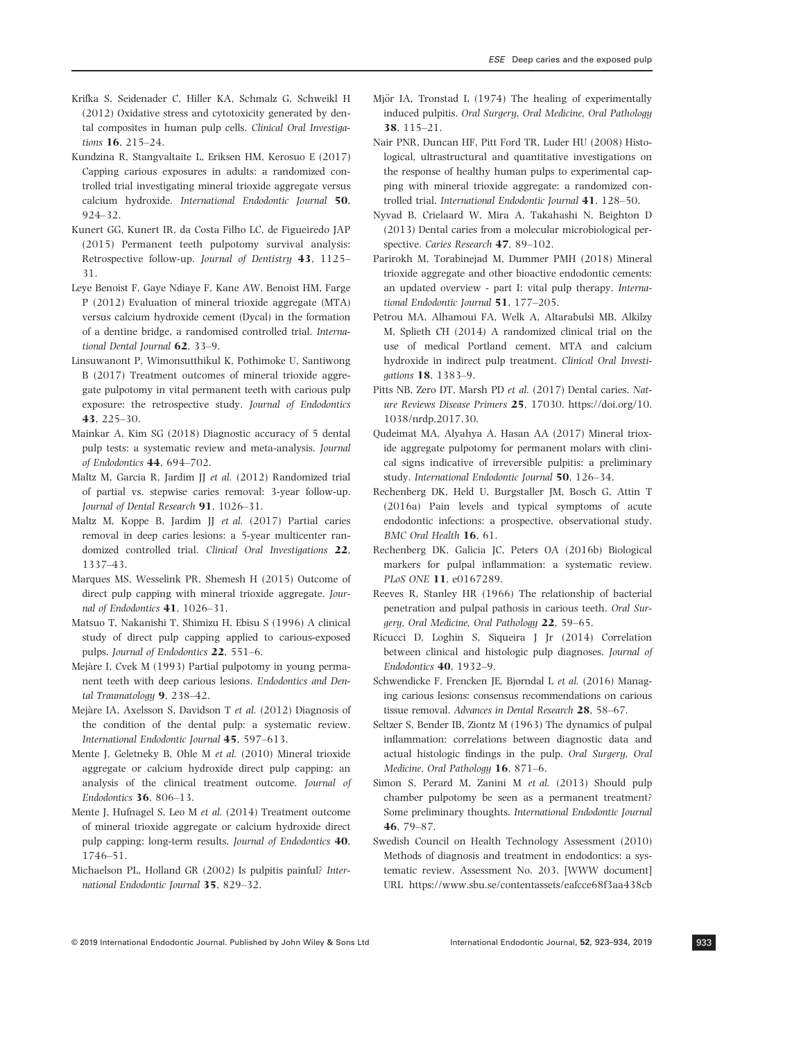- Krifka S, Seidenader C, Hiller KA, Schmalz G, Schweikl H (2012) Oxidative stress and cytotoxicity generated by dental composites in human pulp cells. Clinical Oral Investigations 16, 215–24.
- Kundzina R, Stangvaltaite L, Eriksen HM, Kerosuo E (2017) Capping carious exposures in adults: a randomized controlled trial investigating mineral trioxide aggregate versus calcium hydroxide. International Endodontic Journal 50, 924–32.
- Kunert GG, Kunert IR, da Costa Filho LC, de Figueiredo JAP (2015) Permanent teeth pulpotomy survival analysis: Retrospective follow-up. Journal of Dentistry 43, 1125– 31.
- Leye Benoist F, Gaye Ndiaye F, Kane AW, Benoist HM, Farge P (2012) Evaluation of mineral trioxide aggregate (MTA) versus calcium hydroxide cement (Dycal) in the formation of a dentine bridge, a randomised controlled trial. International Dental Journal 62, 33–9.
- Linsuwanont P, Wimonsutthikul K, Pothimoke U, Santiwong B (2017) Treatment outcomes of mineral trioxide aggregate pulpotomy in vital permanent teeth with carious pulp exposure: the retrospective study. Journal of Endodontics 43, 225–30.
- Mainkar A, Kim SG (2018) Diagnostic accuracy of 5 dental pulp tests: a systematic review and meta-analysis. Journal of Endodontics 44, 694–702.
- Maltz M, Garcia R, Jardim JJ et al. (2012) Randomized trial of partial vs. stepwise caries removal: 3-year follow-up. Journal of Dental Research 91, 1026–31.
- Maltz M, Koppe B, Jardim JJ et al. (2017) Partial caries removal in deep caries lesions: a 5-year multicenter randomized controlled trial. Clinical Oral Investigations 22, 1337–43.
- Marques MS, Wesselink PR, Shemesh H (2015) Outcome of direct pulp capping with mineral trioxide aggregate. Journal of Endodontics 41, 1026–31.
- Matsuo T, Nakanishi T, Shimizu H, Ebisu S (1996) A clinical study of direct pulp capping applied to carious-exposed pulps. Journal of Endodontics 22, 551–6.
- Mejàre I, Cvek M (1993) Partial pulpotomy in young permanent teeth with deep carious lesions. Endodontics and Dental Traumatology 9, 238–42.
- Mejàre IA, Axelsson S, Davidson T et al. (2012) Diagnosis of the condition of the dental pulp: a systematic review. International Endodontic Journal 45, 597–613.
- Mente J, Geletneky B, Ohle M et al. (2010) Mineral trioxide aggregate or calcium hydroxide direct pulp capping: an analysis of the clinical treatment outcome. Journal of Endodontics 36, 806–13.
- Mente J, Hufnagel S, Leo M et al. (2014) Treatment outcome of mineral trioxide aggregate or calcium hydroxide direct pulp capping: long-term results. Journal of Endodontics 40, 1746–51.
- Michaelson PL, Holland GR (2002) Is pulpitis painful? International Endodontic Journal 35, 829–32.
- Mjör IA, Tronstad L  $(1974)$  The healing of experimentally induced pulpitis. Oral Surgery, Oral Medicine, Oral Pathology 38, 115–21.
- Nair PNR, Duncan HF, Pitt Ford TR, Luder HU (2008) Histological, ultrastructural and quantitative investigations on the response of healthy human pulps to experimental capping with mineral trioxide aggregate: a randomized controlled trial. International Endodontic Journal 41, 128–50.
- Nyvad B, Crielaard W, Mira A, Takahashi N, Beighton D (2013) Dental caries from a molecular microbiological perspective. Caries Research 47, 89–102.
- Parirokh M, Torabinejad M, Dummer PMH (2018) Mineral trioxide aggregate and other bioactive endodontic cements: an updated overview - part I: vital pulp therapy. International Endodontic Journal 51, 177–205.
- Petrou MA, Alhamoui FA, Welk A, Altarabulsi MB, Alkilzy M, Splieth CH (2014) A randomized clinical trial on the use of medical Portland cement, MTA and calcium hydroxide in indirect pulp treatment. Clinical Oral Investigations 18, 1383–9.
- Pitts NB, Zero DT, Marsh PD et al. (2017) Dental caries. Nature Reviews Disease Primers 25, 17030. [https://doi.org/10.](https://doi.org/10.1038/nrdp.2017.30) [1038/nrdp.2017.30](https://doi.org/10.1038/nrdp.2017.30).
- Qudeimat MA, Alyahya A, Hasan AA (2017) Mineral trioxide aggregate pulpotomy for permanent molars with clinical signs indicative of irreversible pulpitis: a preliminary study. International Endodontic Journal 50, 126–34.
- Rechenberg DK, Held U, Burgstaller JM, Bosch G, Attin T (2016a) Pain levels and typical symptoms of acute endodontic infections: a prospective, observational study. BMC Oral Health 16, 61.
- Rechenberg DK, Galicia JC, Peters OA (2016b) Biological markers for pulpal inflammation: a systematic review. PLoS ONE 11, e0167289.
- Reeves R, Stanley HR (1966) The relationship of bacterial penetration and pulpal pathosis in carious teeth. Oral Surgery, Oral Medicine, Oral Pathology 22, 59–65.
- Ricucci D, Loghin S, Siqueira J Jr (2014) Correlation between clinical and histologic pulp diagnoses. Journal of Endodontics 40, 1932–9.
- Schwendicke F, Frencken JE, Bjørndal L et al. (2016) Managing carious lesions: consensus recommendations on carious tissue removal. Advances in Dental Research 28, 58–67.
- Seltzer S, Bender IB, Ziontz M (1963) The dynamics of pulpal inflammation: correlations between diagnostic data and actual histologic findings in the pulp. Oral Surgery, Oral Medicine, Oral Pathology 16, 871–6.
- Simon S, Perard M, Zanini M et al. (2013) Should pulp chamber pulpotomy be seen as a permanent treatment? Some preliminary thoughts. International Endodontic Journal 46, 79–87.
- Swedish Council on Health Technology Assessment (2010) Methods of diagnosis and treatment in endodontics: a systematic review. Assessment No. 203. [WWW document] URL [https://www.sbu.se/contentassets/eafcce68f3aa438cb](https://www.sbu.se/contentassets/eafcce68f3aa438cb932c76702cde403/methods-of-diagnosis-and-treatment-in-endodontics_full.pdf)